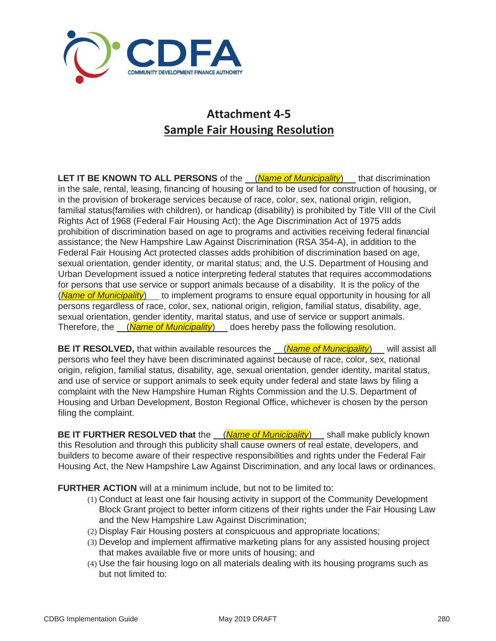

## **Attachment 4-5 Sample Fair Housing Resolution**

**LET IT BE KNOWN TO ALL PERSONS** of the (*Name of Municipality*) that discrimination in the sale, rental, leasing, financing of housing or land to be used for construction of housing, or in the provision of brokerage services because of race, color, sex, national origin, religion, familial status(families with children), or handicap (disability) is prohibited by Title VIII of the Civil Rights Act of 1968 (Federal Fair Housing Act); the Age Discrimination Act of 1975 adds prohibition of discrimination based on age to programs and activities receiving federal financial assistance; the New Hampshire Law Against Discrimination (RSA 354-A), in addition to the Federal Fair Housing Act protected classes adds prohibition of discrimination based on age, sexual orientation, gender identity, or marital status; and, the U.S. Department of Housing and Urban Development issued a notice interpreting federal statutes that requires accommodations for persons that use service or support animals because of a disability. It is the policy of the (*Name of Municipality*) to implement programs to ensure equal opportunity in housing for all persons regardless of race, color, sex, national origin, religion, familial status, disability, age, sexual orientation, gender identity, marital status, and use of service or support animals. Therefore, the (*Name of Municipality*) does hereby pass the following resolution.

**BE IT RESOLVED,** that within available resources the (*Name of Municipality*) will assist all persons who feel they have been discriminated against because of race, color, sex, national origin, religion, familial status, disability, age, sexual orientation, gender identity, marital status, and use of service or support animals to seek equity under federal and state laws by filing a complaint with the New Hampshire Human Rights Commission and the U.S. Department of Housing and Urban Development, Boston Regional Office, whichever is chosen by the person filing the complaint.

**BE IT FURTHER RESOLVED that** the (*Name of Municipality*) shall make publicly known this Resolution and through this publicity shall cause owners of real estate, developers, and builders to become aware of their respective responsibilities and rights under the Federal Fair Housing Act, the New Hampshire Law Against Discrimination, and any local laws or ordinances.

**FURTHER ACTION** will at a minimum include, but not to be limited to:

- (1) Conduct at least one fair housing activity in support of the Community Development Block Grant project to better inform citizens of their rights under the Fair Housing Law and the New Hampshire Law Against Discrimination;
- (2) Display Fair Housing posters at conspicuous and appropriate locations;
- (3) Develop and implement affirmative marketing plans for any assisted housing project that makes available five or more units of housing; and
- (4) Use the fair housing logo on all materials dealing with its housing programs such as but not limited to: